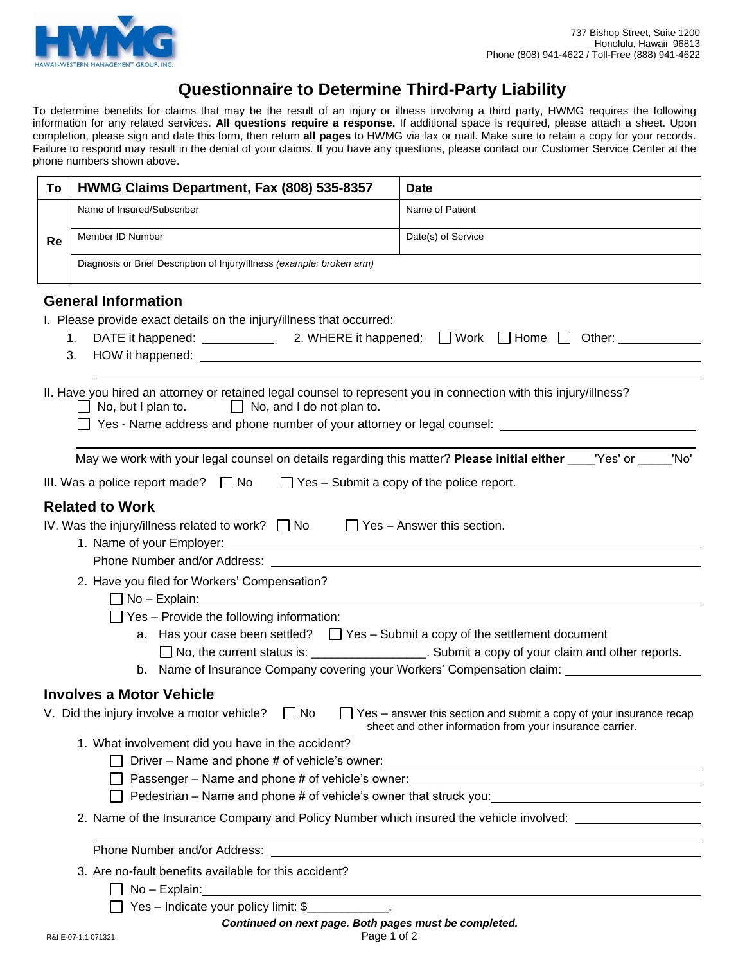

# **Questionnaire to Determine Third-Party Liability**

To determine benefits for claims that may be the result of an injury or illness involving a third party, HWMG requires the following information for any related services. **All questions require a response.** If additional space is required, please attach a sheet. Upon completion, please sign and date this form, then return **all pages** to HWMG via fax or mail. Make sure to retain a copy for your records. Failure to respond may result in the denial of your claims. If you have any questions, please contact our Customer Service Center at the phone numbers shown above.

| To                                                                                                                                                                                      | HWMG Claims Department, Fax (808) 535-8357                                                                                                                                                                                                                                                                                                                                                                      | <b>Date</b>                                                                                                                                                                                    |  |  |  |
|-----------------------------------------------------------------------------------------------------------------------------------------------------------------------------------------|-----------------------------------------------------------------------------------------------------------------------------------------------------------------------------------------------------------------------------------------------------------------------------------------------------------------------------------------------------------------------------------------------------------------|------------------------------------------------------------------------------------------------------------------------------------------------------------------------------------------------|--|--|--|
|                                                                                                                                                                                         | Name of Insured/Subscriber                                                                                                                                                                                                                                                                                                                                                                                      | Name of Patient                                                                                                                                                                                |  |  |  |
| Re                                                                                                                                                                                      | Member ID Number                                                                                                                                                                                                                                                                                                                                                                                                | Date(s) of Service                                                                                                                                                                             |  |  |  |
|                                                                                                                                                                                         | Diagnosis or Brief Description of Injury/Illness (example: broken arm)                                                                                                                                                                                                                                                                                                                                          |                                                                                                                                                                                                |  |  |  |
|                                                                                                                                                                                         | <b>General Information</b><br>I. Please provide exact details on the injury/illness that occurred:<br>1.<br>3.                                                                                                                                                                                                                                                                                                  |                                                                                                                                                                                                |  |  |  |
|                                                                                                                                                                                         | II. Have you hired an attorney or retained legal counsel to represent you in connection with this injury/illness?<br>$\Box$ No, but I plan to.<br>$\Box$ No, and I do not plan to.<br>Yes - Name address and phone number of your attorney or legal counsel: ____________________________<br>May we work with your legal counsel on details regarding this matter? Please initial either ____'Yes' or _____'No' |                                                                                                                                                                                                |  |  |  |
|                                                                                                                                                                                         |                                                                                                                                                                                                                                                                                                                                                                                                                 |                                                                                                                                                                                                |  |  |  |
|                                                                                                                                                                                         | $\Box$ Yes - Submit a copy of the police report.<br>III. Was a police report made? $\Box$ No                                                                                                                                                                                                                                                                                                                    |                                                                                                                                                                                                |  |  |  |
| <b>Related to Work</b><br>IV. Was the injury/illness related to work? $\Box$ No $\Box$ Yes - Answer this section.                                                                       |                                                                                                                                                                                                                                                                                                                                                                                                                 |                                                                                                                                                                                                |  |  |  |
|                                                                                                                                                                                         | 2. Have you filed for Workers' Compensation?<br>$\Box$ No - Explain:<br>$\Box$ Yes – Provide the following information:<br>a. Has your case been settled? $\Box$ Yes – Submit a copy of the settlement document                                                                                                                                                                                                 | □ No, the current status is: ______________________. Submit a copy of your claim and other reports.<br>b. Name of Insurance Company covering your Workers' Compensation claim: _______________ |  |  |  |
|                                                                                                                                                                                         | <b>Involves a Motor Vehicle</b>                                                                                                                                                                                                                                                                                                                                                                                 |                                                                                                                                                                                                |  |  |  |
| V. Did the injury involve a motor vehicle? $\Box$ No<br>Yes - answer this section and submit a copy of your insurance recap<br>sheet and other information from your insurance carrier. |                                                                                                                                                                                                                                                                                                                                                                                                                 |                                                                                                                                                                                                |  |  |  |
| 1. What involvement did you have in the accident?<br>Driver - Name and phone # of vehicle's owner:<br><u>Driver - Name and phone # of vehicle's owner:</u>                              |                                                                                                                                                                                                                                                                                                                                                                                                                 |                                                                                                                                                                                                |  |  |  |
|                                                                                                                                                                                         |                                                                                                                                                                                                                                                                                                                                                                                                                 |                                                                                                                                                                                                |  |  |  |
|                                                                                                                                                                                         | 2. Name of the Insurance Company and Policy Number which insured the vehicle involved:                                                                                                                                                                                                                                                                                                                          |                                                                                                                                                                                                |  |  |  |
|                                                                                                                                                                                         |                                                                                                                                                                                                                                                                                                                                                                                                                 |                                                                                                                                                                                                |  |  |  |
|                                                                                                                                                                                         | 3. Are no-fault benefits available for this accident?                                                                                                                                                                                                                                                                                                                                                           |                                                                                                                                                                                                |  |  |  |
|                                                                                                                                                                                         | Yes - Indicate your policy limit: \$                                                                                                                                                                                                                                                                                                                                                                            |                                                                                                                                                                                                |  |  |  |
|                                                                                                                                                                                         | Continued on next page. Both pages must be completed.<br>Page 1 of 2<br>R&I E-07-1.1 071321                                                                                                                                                                                                                                                                                                                     |                                                                                                                                                                                                |  |  |  |